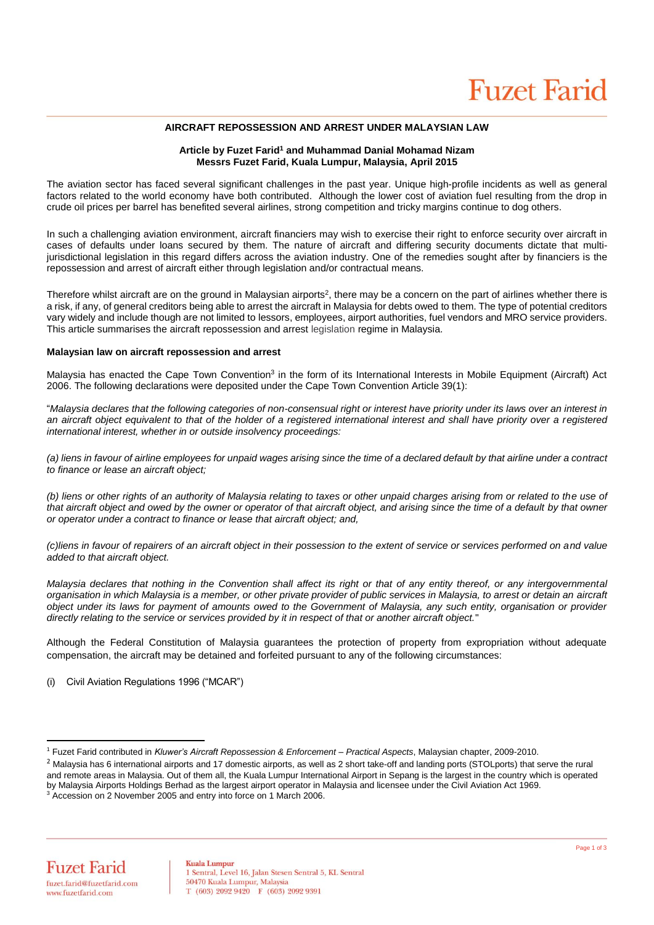# **AIRCRAFT REPOSSESSION AND ARREST UNDER MALAYSIAN LAW**

## **Article by Fuzet Farid<sup>1</sup> and Muhammad Danial Mohamad Nizam Messrs Fuzet Farid, Kuala Lumpur, Malaysia, April 2015**

The aviation sector has faced several significant challenges in the past year. Unique high-profile incidents as well as general factors related to the world economy have both contributed. Although the lower cost of aviation fuel resulting from the drop in crude oil prices per barrel has benefited several airlines, strong competition and tricky margins continue to dog others.

In such a challenging aviation environment, aircraft financiers may wish to exercise their right to enforce security over aircraft in cases of defaults under loans secured by them. The nature of aircraft and differing security documents dictate that multijurisdictional legislation in this regard differs across the aviation industry. One of the remedies sought after by financiers is the repossession and arrest of aircraft either through legislation and/or contractual means.

Therefore whilst aircraft are on the ground in Malaysian airports<sup>2</sup>, there may be a concern on the part of airlines whether there is a risk, if any, of general creditors being able to arrest the aircraft in Malaysia for debts owed to them. The type of potential creditors vary widely and include though are not limited to lessors, employees, airport authorities, fuel vendors and MRO service providers. This article summarises the aircraft repossession and arrest legislation regime in Malaysia.

#### **Malaysian law on aircraft repossession and arrest**

Malaysia has enacted the Cape Town Convention<sup>3</sup> in the form of its International Interests in Mobile Equipment (Aircraft) Act 2006. The following declarations were deposited under the Cape Town Convention Article 39(1):

"*Malaysia declares that the following categories of non-consensual right or interest have priority under its laws over an interest in*  an aircraft object equivalent to that of the holder of a registered international interest and shall have priority over a registered *international interest, whether in or outside insolvency proceedings:* 

*(a) liens in favour of airline employees for unpaid wages arising since the time of a declared default by that airline under a contract to finance or lease an aircraft object;*

*(b) liens or other rights of an authority of Malaysia relating to taxes or other unpaid charges arising from or related to the use of that aircraft object and owed by the owner or operator of that aircraft object, and arising since the time of a default by that owner or operator under a contract to finance or lease that aircraft object; and,* 

*(c)liens in favour of repairers of an aircraft object in their possession to the extent of service or services performed on and value added to that aircraft object.* 

*Malaysia declares that nothing in the Convention shall affect its right or that of any entity thereof, or any intergovernmental organisation in which Malaysia is a member, or other private provider of public services in Malaysia, to arrest or detain an aircraft object under its laws for payment of amounts owed to the Government of Malaysia, any such entity, organisation or provider directly relating to the service or services provided by it in respect of that or another aircraft object.*"

Although the Federal Constitution of Malaysia guarantees the protection of property from expropriation without adequate compensation, the aircraft may be detained and forfeited pursuant to any of the following circumstances:

(i) Civil Aviation Regulations 1996 ("MCAR")

 $\overline{a}$ <sup>1</sup> Fuzet Farid contributed in *Kluwer's Aircraft Repossession & Enforcement – Practical Aspects*, Malaysian chapter, 2009-2010.

<sup>&</sup>lt;sup>2</sup> Malaysia has 6 international airports and 17 domestic airports, as well as 2 short take-off and landing ports (STOLports) that serve the rural and remote areas in Malaysia. Out of them all, the Kuala Lumpur International Airport in Sepang is the largest in the country which is operated by Malaysia Airports Holdings Berhad as the largest airport operator in Malaysia and licensee under the Civil Aviation Act 1969.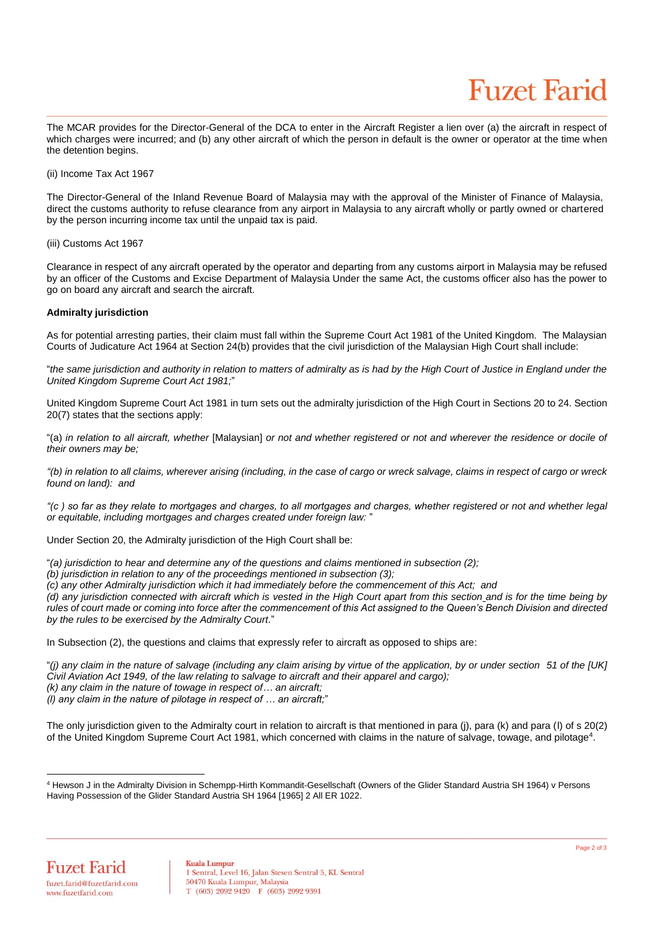# **Fuzet Farid**

The MCAR provides for the Director-General of the DCA to enter in the Aircraft Register a lien over (a) the aircraft in respect of which charges were incurred; and (b) any other aircraft of which the person in default is the owner or operator at the time when the detention begins.

(ii) Income Tax Act 1967

The Director-General of the Inland Revenue Board of Malaysia may with the approval of the Minister of Finance of Malaysia, direct the customs authority to refuse clearance from any airport in Malaysia to any aircraft wholly or partly owned or chartered by the person incurring income tax until the unpaid tax is paid.

(iii) Customs Act 1967

Clearance in respect of any aircraft operated by the operator and departing from any customs airport in Malaysia may be refused by an officer of the Customs and Excise Department of Malaysia Under the same Act, the customs officer also has the power to go on board any aircraft and search the aircraft.

## **Admiralty jurisdiction**

As for potential arresting parties, their claim must fall within the Supreme Court Act 1981 of the United Kingdom. The Malaysian Courts of Judicature Act 1964 at Section 24(b) provides that the civil jurisdiction of the Malaysian High Court shall include:

"*the same jurisdiction and authority in relation to matters of admiralty as is had by the High Court of Justice in England under the United Kingdom Supreme Court Act 1981;*"

United Kingdom Supreme Court Act 1981 in turn sets out the admiralty jurisdiction of the High Court in Sections 20 to 24. Section 20(7) states that the sections apply:

"(a) in relation to all aircraft, whether [Malaysian] or not and whether registered or not and wherever the residence or docile of *their owners may be;*

*"(b) in relation to all claims, wherever arising (including, in the case of cargo or wreck salvage, claims in respect of cargo or wreck found on land): and*

*"(c ) so far as they relate to mortgages and charges, to all mortgages and charges, whether registered or not and whether legal or equitable, including mortgages and charges created under foreign law:* "

Under Section 20, the Admiralty jurisdiction of the High Court shall be:

"*(a) jurisdiction to hear and determine any of the questions and claims mentioned in subsection (2);*

*(b) jurisdiction in relation to any of the proceedings mentioned in subsection (3);*

*(c) any other Admiralty jurisdiction which it had immediately before the commencement of this Act; and*

*(d) any jurisdiction connected with aircraft which is vested in the High Court apart from this section\_and is for the time being by rules of court made or coming into force after the commencement of this Act assigned to the Queen's Bench Division and directed by the rules to be exercised by the Admiralty Court.*"

In Subsection (2), the questions and claims that expressly refer to aircraft as opposed to ships are:

"*(j) any claim in the nature of salvage (including any claim arising by virtue of the application, by or under section 51 of the [UK] Civil Aviation Act 1949, of the law relating to salvage to aircraft and their apparel and cargo); (k) any claim in the nature of towage in respect of… an aircraft;*

*(l) any claim in the nature of pilotage in respect of … an aircraft;*"

The only jurisdiction given to the Admiralty court in relation to aircraft is that mentioned in para (i), para (k) and para (l) of s 20(2) of the United Kingdom Supreme Court Act 1981, which concerned with claims in the nature of salvage, towage, and pilotage<sup>4</sup>.

 $\overline{a}$ <sup>4</sup> Hewson J in the Admiralty Division in Schempp-Hirth Kommandit-Gesellschaft (Owners of the Glider Standard Austria SH 1964) v Persons Having Possession of the Glider Standard Austria SH 1964 [1965] 2 All ER 1022.